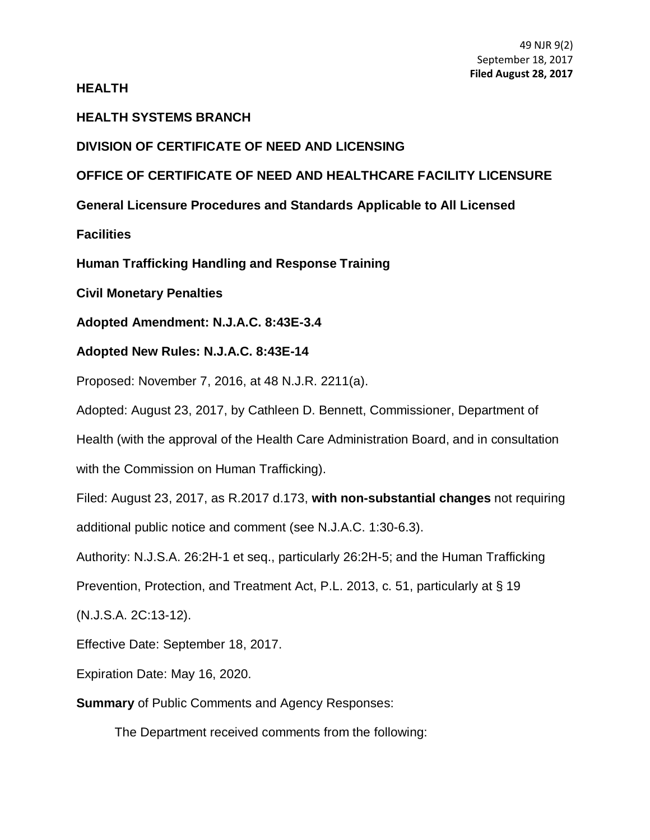**HEALTH**

### **HEALTH SYSTEMS BRANCH**

# **DIVISION OF CERTIFICATE OF NEED AND LICENSING**

# **OFFICE OF CERTIFICATE OF NEED AND HEALTHCARE FACILITY LICENSURE**

**General Licensure Procedures and Standards Applicable to All Licensed** 

**Facilities**

**Human Trafficking Handling and Response Training**

**Civil Monetary Penalties**

**Adopted Amendment: N.J.A.C. 8:43E-3.4**

#### **Adopted New Rules: N.J.A.C. 8:43E-14**

Proposed: November 7, 2016, at 48 N.J.R. 2211(a).

Adopted: August 23, 2017, by Cathleen D. Bennett, Commissioner, Department of

Health (with the approval of the Health Care Administration Board, and in consultation

with the Commission on Human Trafficking).

Filed: August 23, 2017, as R.2017 d.173, **with non-substantial changes** not requiring additional public notice and comment (see N.J.A.C. 1:30-6.3).

Authority: N.J.S.A. 26:2H-1 et seq., particularly 26:2H-5; and the Human Trafficking

Prevention, Protection, and Treatment Act, P.L. 2013, c. 51, particularly at § 19

(N.J.S.A. 2C:13-12).

Effective Date: September 18, 2017.

Expiration Date: May 16, 2020.

**Summary** of Public Comments and Agency Responses:

The Department received comments from the following: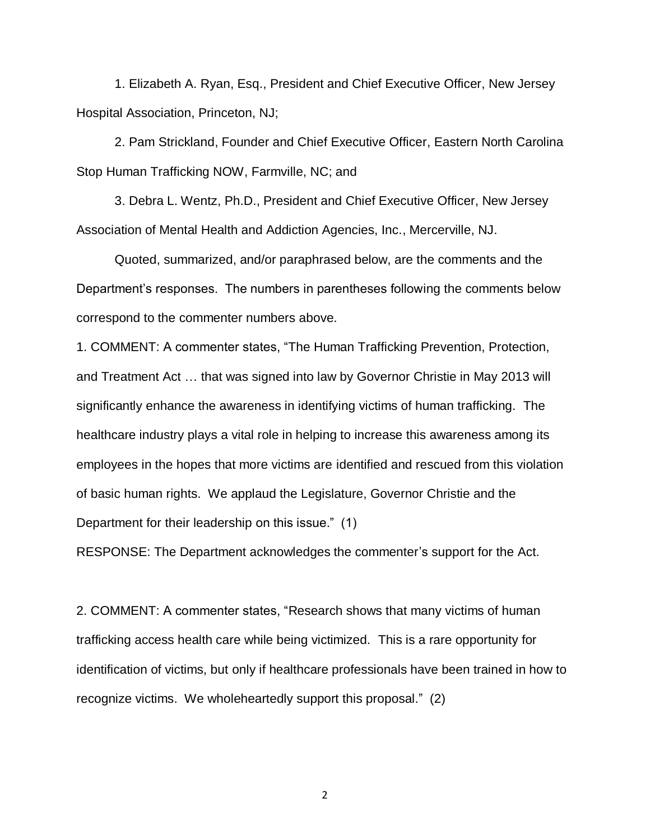1. Elizabeth A. Ryan, Esq., President and Chief Executive Officer, New Jersey Hospital Association, Princeton, NJ;

2. Pam Strickland, Founder and Chief Executive Officer, Eastern North Carolina Stop Human Trafficking NOW, Farmville, NC; and

3. Debra L. Wentz, Ph.D., President and Chief Executive Officer, New Jersey Association of Mental Health and Addiction Agencies, Inc., Mercerville, NJ.

Quoted, summarized, and/or paraphrased below, are the comments and the Department's responses. The numbers in parentheses following the comments below correspond to the commenter numbers above.

1. COMMENT: A commenter states, "The Human Trafficking Prevention, Protection, and Treatment Act … that was signed into law by Governor Christie in May 2013 will significantly enhance the awareness in identifying victims of human trafficking. The healthcare industry plays a vital role in helping to increase this awareness among its employees in the hopes that more victims are identified and rescued from this violation of basic human rights. We applaud the Legislature, Governor Christie and the Department for their leadership on this issue." (1)

RESPONSE: The Department acknowledges the commenter's support for the Act.

2. COMMENT: A commenter states, "Research shows that many victims of human trafficking access health care while being victimized. This is a rare opportunity for identification of victims, but only if healthcare professionals have been trained in how to recognize victims. We wholeheartedly support this proposal." (2)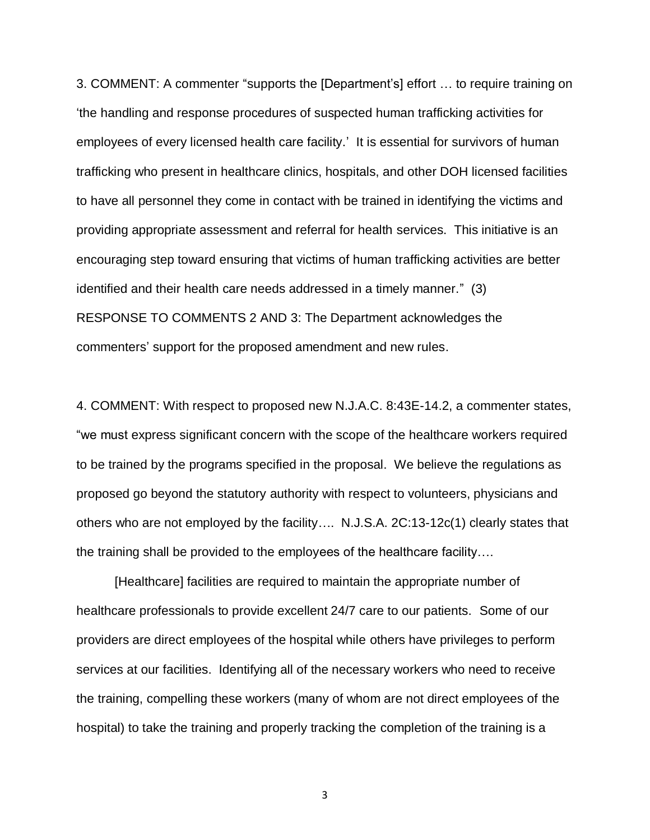3. COMMENT: A commenter "supports the [Department's] effort … to require training on 'the handling and response procedures of suspected human trafficking activities for employees of every licensed health care facility.' It is essential for survivors of human trafficking who present in healthcare clinics, hospitals, and other DOH licensed facilities to have all personnel they come in contact with be trained in identifying the victims and providing appropriate assessment and referral for health services. This initiative is an encouraging step toward ensuring that victims of human trafficking activities are better identified and their health care needs addressed in a timely manner." (3) RESPONSE TO COMMENTS 2 AND 3: The Department acknowledges the commenters' support for the proposed amendment and new rules.

4. COMMENT: With respect to proposed new N.J.A.C. 8:43E-14.2, a commenter states, "we must express significant concern with the scope of the healthcare workers required to be trained by the programs specified in the proposal. We believe the regulations as proposed go beyond the statutory authority with respect to volunteers, physicians and others who are not employed by the facility…. N.J.S.A. 2C:13-12c(1) clearly states that the training shall be provided to the employees of the healthcare facility….

[Healthcare] facilities are required to maintain the appropriate number of healthcare professionals to provide excellent 24/7 care to our patients. Some of our providers are direct employees of the hospital while others have privileges to perform services at our facilities. Identifying all of the necessary workers who need to receive the training, compelling these workers (many of whom are not direct employees of the hospital) to take the training and properly tracking the completion of the training is a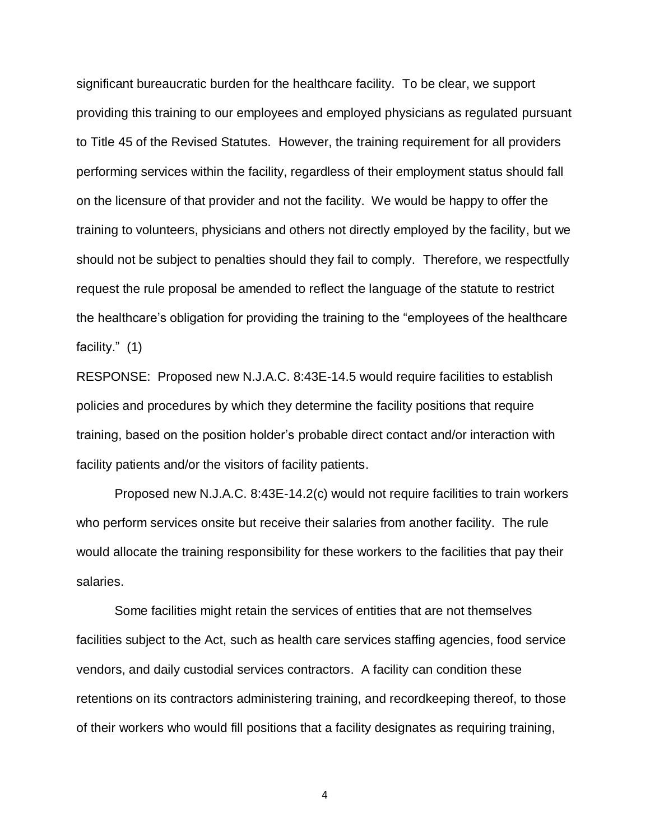significant bureaucratic burden for the healthcare facility. To be clear, we support providing this training to our employees and employed physicians as regulated pursuant to Title 45 of the Revised Statutes. However, the training requirement for all providers performing services within the facility, regardless of their employment status should fall on the licensure of that provider and not the facility. We would be happy to offer the training to volunteers, physicians and others not directly employed by the facility, but we should not be subject to penalties should they fail to comply. Therefore, we respectfully request the rule proposal be amended to reflect the language of the statute to restrict the healthcare's obligation for providing the training to the "employees of the healthcare facility." (1)

RESPONSE: Proposed new N.J.A.C. 8:43E-14.5 would require facilities to establish policies and procedures by which they determine the facility positions that require training, based on the position holder's probable direct contact and/or interaction with facility patients and/or the visitors of facility patients.

Proposed new N.J.A.C. 8:43E-14.2(c) would not require facilities to train workers who perform services onsite but receive their salaries from another facility. The rule would allocate the training responsibility for these workers to the facilities that pay their salaries.

Some facilities might retain the services of entities that are not themselves facilities subject to the Act, such as health care services staffing agencies, food service vendors, and daily custodial services contractors. A facility can condition these retentions on its contractors administering training, and recordkeeping thereof, to those of their workers who would fill positions that a facility designates as requiring training,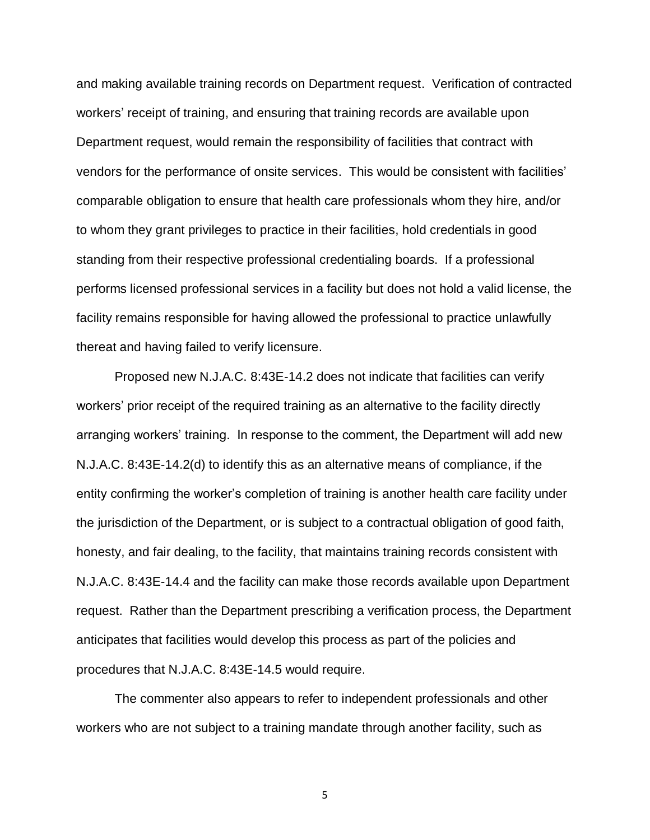and making available training records on Department request. Verification of contracted workers' receipt of training, and ensuring that training records are available upon Department request, would remain the responsibility of facilities that contract with vendors for the performance of onsite services. This would be consistent with facilities' comparable obligation to ensure that health care professionals whom they hire, and/or to whom they grant privileges to practice in their facilities, hold credentials in good standing from their respective professional credentialing boards. If a professional performs licensed professional services in a facility but does not hold a valid license, the facility remains responsible for having allowed the professional to practice unlawfully thereat and having failed to verify licensure.

Proposed new N.J.A.C. 8:43E-14.2 does not indicate that facilities can verify workers' prior receipt of the required training as an alternative to the facility directly arranging workers' training. In response to the comment, the Department will add new N.J.A.C. 8:43E-14.2(d) to identify this as an alternative means of compliance, if the entity confirming the worker's completion of training is another health care facility under the jurisdiction of the Department, or is subject to a contractual obligation of good faith, honesty, and fair dealing, to the facility, that maintains training records consistent with N.J.A.C. 8:43E-14.4 and the facility can make those records available upon Department request. Rather than the Department prescribing a verification process, the Department anticipates that facilities would develop this process as part of the policies and procedures that N.J.A.C. 8:43E-14.5 would require.

The commenter also appears to refer to independent professionals and other workers who are not subject to a training mandate through another facility, such as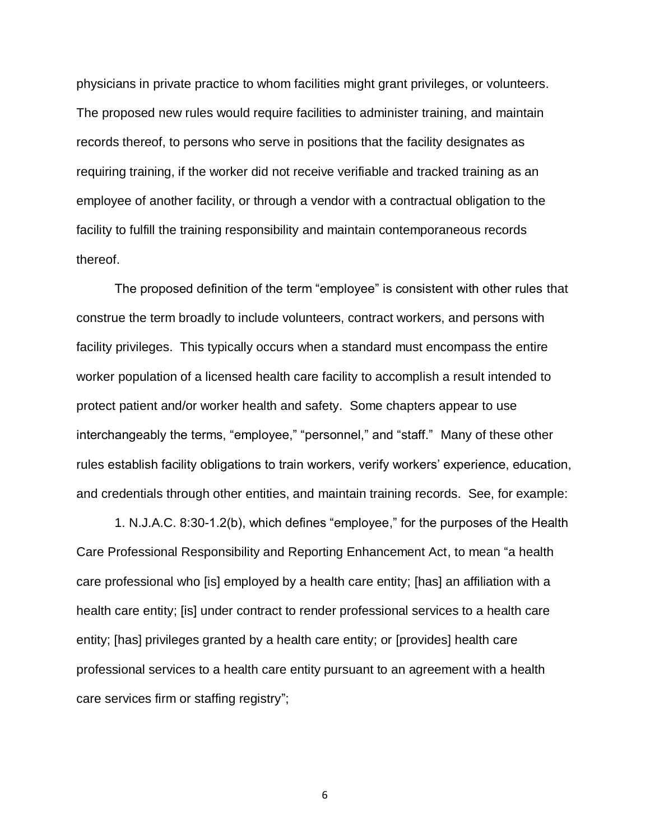physicians in private practice to whom facilities might grant privileges, or volunteers. The proposed new rules would require facilities to administer training, and maintain records thereof, to persons who serve in positions that the facility designates as requiring training, if the worker did not receive verifiable and tracked training as an employee of another facility, or through a vendor with a contractual obligation to the facility to fulfill the training responsibility and maintain contemporaneous records thereof.

The proposed definition of the term "employee" is consistent with other rules that construe the term broadly to include volunteers, contract workers, and persons with facility privileges. This typically occurs when a standard must encompass the entire worker population of a licensed health care facility to accomplish a result intended to protect patient and/or worker health and safety. Some chapters appear to use interchangeably the terms, "employee," "personnel," and "staff." Many of these other rules establish facility obligations to train workers, verify workers' experience, education, and credentials through other entities, and maintain training records. See, for example:

1. N.J.A.C. 8:30-1.2(b), which defines "employee," for the purposes of the Health Care Professional Responsibility and Reporting Enhancement Act, to mean "a health care professional who [is] employed by a health care entity; [has] an affiliation with a health care entity; [is] under contract to render professional services to a health care entity; [has] privileges granted by a health care entity; or [provides] health care professional services to a health care entity pursuant to an agreement with a health care services firm or staffing registry";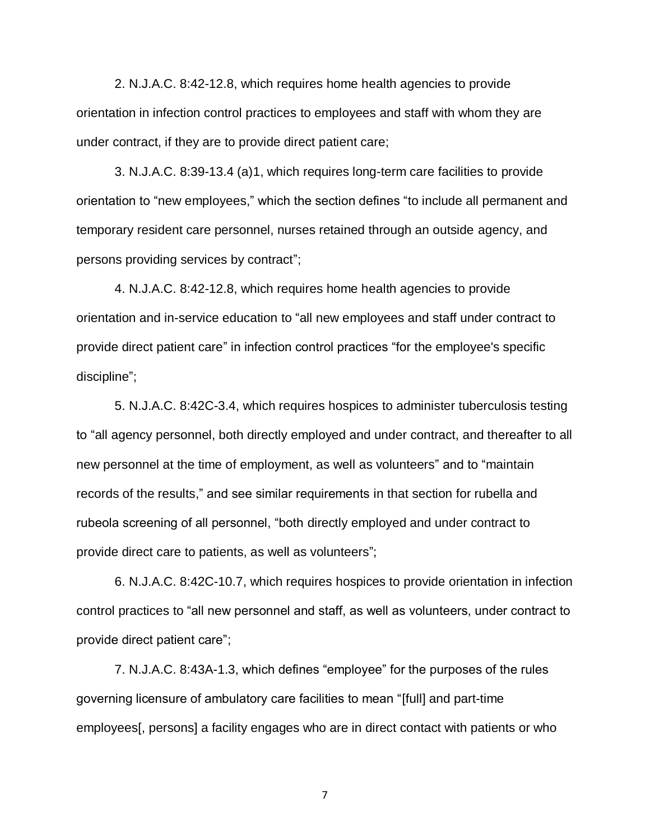2. N.J.A.C. 8:42-12.8, which requires home health agencies to provide orientation in infection control practices to employees and staff with whom they are under contract, if they are to provide direct patient care;

3. N.J.A.C. 8:39-13.4 (a)1, which requires long-term care facilities to provide orientation to "new employees," which the section defines "to include all permanent and temporary resident care personnel, nurses retained through an outside agency, and persons providing services by contract";

4. N.J.A.C. 8:42-12.8, which requires home health agencies to provide orientation and in-service education to "all new employees and staff under contract to provide direct patient care" in infection control practices "for the employee's specific discipline";

5. N.J.A.C. 8:42C-3.4, which requires hospices to administer tuberculosis testing to "all agency personnel, both directly employed and under contract, and thereafter to all new personnel at the time of employment, as well as volunteers" and to "maintain records of the results," and see similar requirements in that section for rubella and rubeola screening of all personnel, "both directly employed and under contract to provide direct care to patients, as well as volunteers";

6. N.J.A.C. 8:42C-10.7, which requires hospices to provide orientation in infection control practices to "all new personnel and staff, as well as volunteers, under contract to provide direct patient care";

7. N.J.A.C. 8:43A-1.3, which defines "employee" for the purposes of the rules governing licensure of ambulatory care facilities to mean "[full] and part-time employees[, persons] a facility engages who are in direct contact with patients or who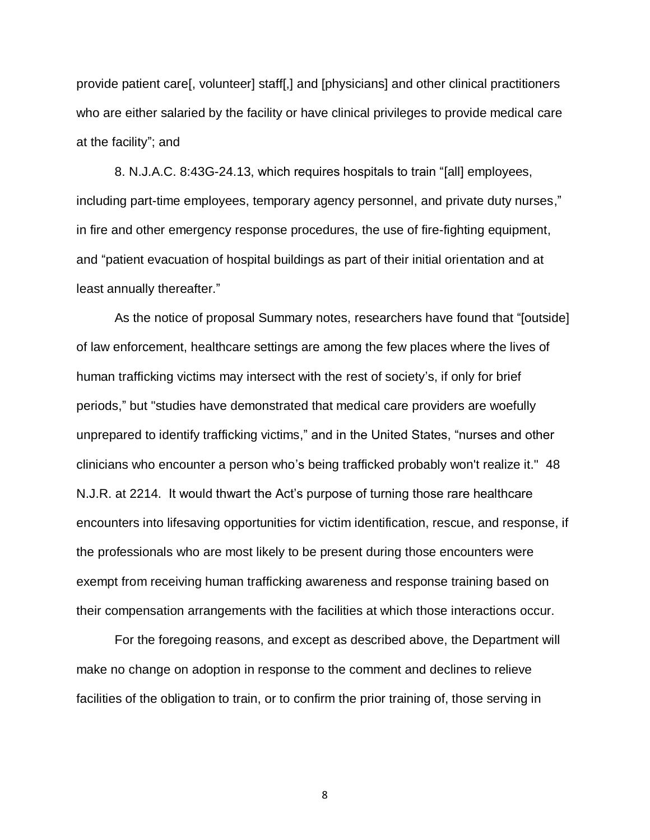provide patient care[, volunteer] staff[,] and [physicians] and other clinical practitioners who are either salaried by the facility or have clinical privileges to provide medical care at the facility"; and

8. N.J.A.C. 8:43G-24.13, which requires hospitals to train "[all] employees, including part-time employees, temporary agency personnel, and private duty nurses," in fire and other emergency response procedures, the use of fire-fighting equipment, and "patient evacuation of hospital buildings as part of their initial orientation and at least annually thereafter."

As the notice of proposal Summary notes, researchers have found that "[outside] of law enforcement, healthcare settings are among the few places where the lives of human trafficking victims may intersect with the rest of society's, if only for brief periods," but "studies have demonstrated that medical care providers are woefully unprepared to identify trafficking victims," and in the United States, "nurses and other clinicians who encounter a person who's being trafficked probably won't realize it." 48 N.J.R. at 2214. It would thwart the Act's purpose of turning those rare healthcare encounters into lifesaving opportunities for victim identification, rescue, and response, if the professionals who are most likely to be present during those encounters were exempt from receiving human trafficking awareness and response training based on their compensation arrangements with the facilities at which those interactions occur.

For the foregoing reasons, and except as described above, the Department will make no change on adoption in response to the comment and declines to relieve facilities of the obligation to train, or to confirm the prior training of, those serving in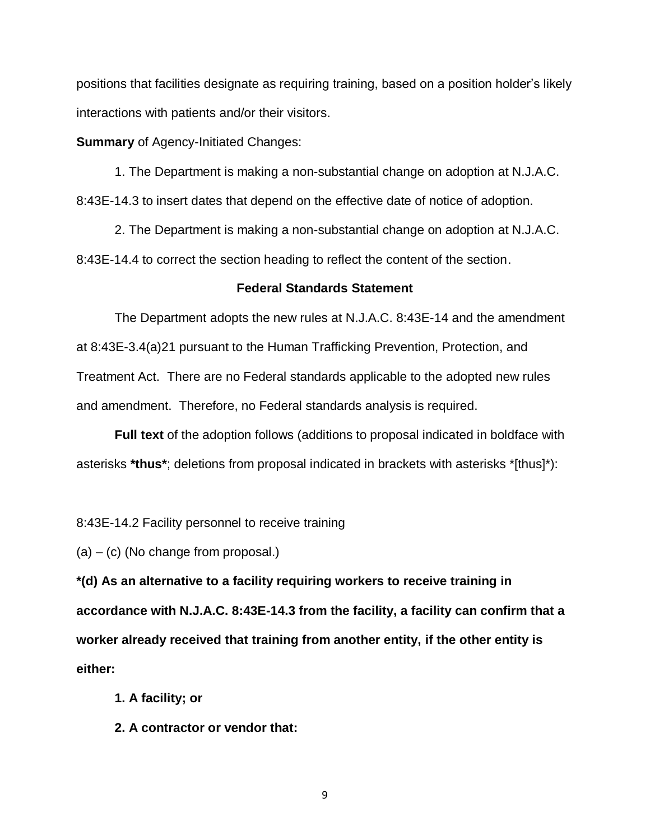positions that facilities designate as requiring training, based on a position holder's likely interactions with patients and/or their visitors.

**Summary** of Agency-Initiated Changes:

1. The Department is making a non-substantial change on adoption at N.J.A.C. 8:43E-14.3 to insert dates that depend on the effective date of notice of adoption.

2. The Department is making a non-substantial change on adoption at N.J.A.C. 8:43E-14.4 to correct the section heading to reflect the content of the section.

#### **Federal Standards Statement**

The Department adopts the new rules at N.J.A.C. 8:43E-14 and the amendment at 8:43E-3.4(a)21 pursuant to the Human Trafficking Prevention, Protection, and Treatment Act. There are no Federal standards applicable to the adopted new rules and amendment. Therefore, no Federal standards analysis is required.

**Full text** of the adoption follows (additions to proposal indicated in boldface with asterisks **\*thus\***; deletions from proposal indicated in brackets with asterisks \*[thus]\*):

8:43E-14.2 Facility personnel to receive training

 $(a) - (c)$  (No change from proposal.)

**\*(d) As an alternative to a facility requiring workers to receive training in accordance with N.J.A.C. 8:43E-14.3 from the facility, a facility can confirm that a worker already received that training from another entity, if the other entity is either:**

**1. A facility; or**

**2. A contractor or vendor that:**